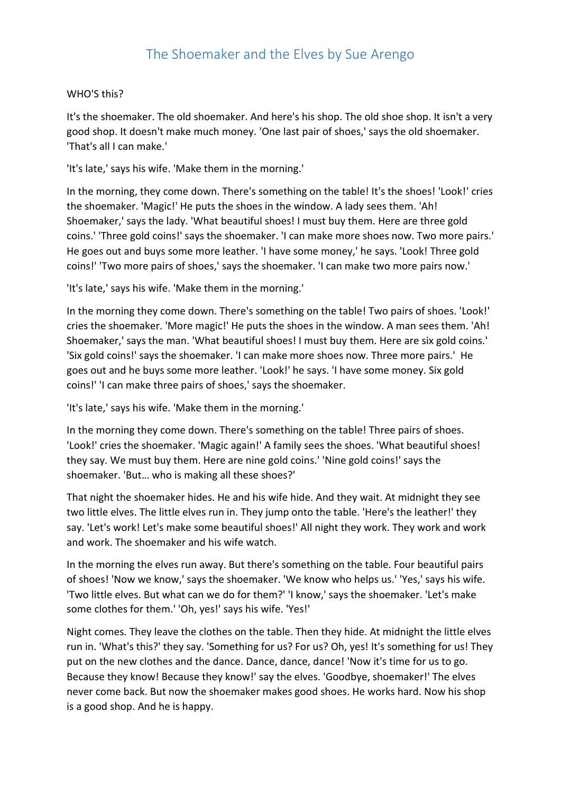## WHO'S this?

It's the shoemaker. The old shoemaker. And here's his shop. The old shoe shop. It isn't a very good shop. It doesn't make much money. 'One last pair of shoes,' says the old shoemaker. 'That's all I can make.'

'It's late,' says his wife. 'Make them in the morning.'

In the morning, they come down. There's something on the table! It's the shoes! 'Look!' cries the shoemaker. 'Magic!' He puts the shoes in the window. A lady sees them. 'Ah! Shoemaker,' says the lady. 'What beautiful shoes! I must buy them. Here are three gold coins.' 'Three gold coins!' says the shoemaker. 'I can make more shoes now. Two more pairs.' He goes out and buys some more leather. 'I have some money,' he says. 'Look! Three gold coins!' 'Two more pairs of shoes,' says the shoemaker. 'I can make two more pairs now.'

'It's late,' says his wife. 'Make them in the morning.'

In the morning they come down. There's something on the table! Two pairs of shoes. 'Look!' cries the shoemaker. 'More magic!' He puts the shoes in the window. A man sees them. 'Ah! Shoemaker,' says the man. 'What beautiful shoes! I must buy them. Here are six gold coins.' 'Six gold coins!' says the shoemaker. 'I can make more shoes now. Three more pairs.' He goes out and he buys some more leather. 'Look!' he says. 'I have some money. Six gold coins!' 'I can make three pairs of shoes,' says the shoemaker.

'It's late,' says his wife. 'Make them in the morning.'

In the morning they come down. There's something on the table! Three pairs of shoes. 'Look!' cries the shoemaker. 'Magic again!' A family sees the shoes. 'What beautiful shoes! they say. We must buy them. Here are nine gold coins.' 'Nine gold coins!' says the shoemaker. 'But… who is making all these shoes?'

That night the shoemaker hides. He and his wife hide. And they wait. At midnight they see two little elves. The little elves run in. They jump onto the table. 'Here's the leather!' they say. 'Let's work! Let's make some beautiful shoes!' All night they work. They work and work and work. The shoemaker and his wife watch.

In the morning the elves run away. But there's something on the table. Four beautiful pairs of shoes! 'Now we know,' says the shoemaker. 'We know who helps us.' 'Yes,' says his wife. 'Two little elves. But what can we do for them?' 'I know,' says the shoemaker. 'Let's make some clothes for them.' 'Oh, yes!' says his wife. 'Yes!'

Night comes. They leave the clothes on the table. Then they hide. At midnight the little elves run in. 'What's this?' they say. 'Something for us? For us? Oh, yes! It's something for us! They put on the new clothes and the dance. Dance, dance, dance! 'Now it's time for us to go. Because they know! Because they know!' say the elves. 'Goodbye, shoemaker!' The elves never come back. But now the shoemaker makes good shoes. He works hard. Now his shop is a good shop. And he is happy.